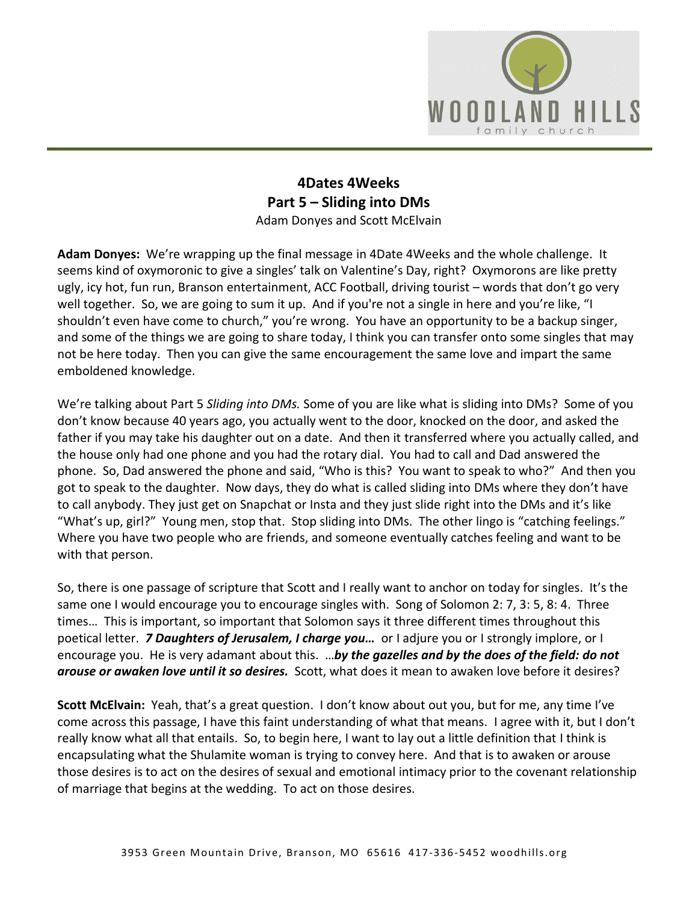

## **4Dates 4Weeks Part 5 – Sliding into DMs** Adam Donyes and Scott McElvain

**Adam Donyes:** We're wrapping up the final message in 4Date 4Weeks and the whole challenge. It seems kind of oxymoronic to give a singles' talk on Valentine's Day, right? Oxymorons are like pretty ugly, icy hot, fun run, Branson entertainment, ACC Football, driving tourist – words that don't go very well together. So, we are going to sum it up. And if you're not a single in here and you're like, "I shouldn't even have come to church," you're wrong. You have an opportunity to be a backup singer, and some of the things we are going to share today, I think you can transfer onto some singles that may not be here today. Then you can give the same encouragement the same love and impart the same emboldened knowledge.

We're talking about Part 5 *Sliding into DMs.* Some of you are like what is sliding into DMs? Some of you don't know because 40 years ago, you actually went to the door, knocked on the door, and asked the father if you may take his daughter out on a date. And then it transferred where you actually called, and the house only had one phone and you had the rotary dial. You had to call and Dad answered the phone. So, Dad answered the phone and said, "Who is this? You want to speak to who?" And then you got to speak to the daughter. Now days, they do what is called sliding into DMs where they don't have to call anybody. They just get on Snapchat or Insta and they just slide right into the DMs and it's like "What's up, girl?" Young men, stop that. Stop sliding into DMs. The other lingo is "catching feelings." Where you have two people who are friends, and someone eventually catches feeling and want to be with that person.

So, there is one passage of scripture that Scott and I really want to anchor on today for singles. It's the same one I would encourage you to encourage singles with. Song of Solomon 2: 7, 3: 5, 8: 4. Three times… This is important, so important that Solomon says it three different times throughout this poetical letter. *7 Daughters of Jerusalem, I charge you…* or I adjure you or I strongly implore, or I encourage you. He is very adamant about this. …*by the gazelles and by the does of the field: do not arouse or awaken love until it so desires.* Scott, what does it mean to awaken love before it desires?

**Scott McElvain:** Yeah, that's a great question. I don't know about out you, but for me, any time I've come across this passage, I have this faint understanding of what that means. I agree with it, but I don't really know what all that entails. So, to begin here, I want to lay out a little definition that I think is encapsulating what the Shulamite woman is trying to convey here. And that is to awaken or arouse those desires is to act on the desires of sexual and emotional intimacy prior to the covenant relationship of marriage that begins at the wedding. To act on those desires.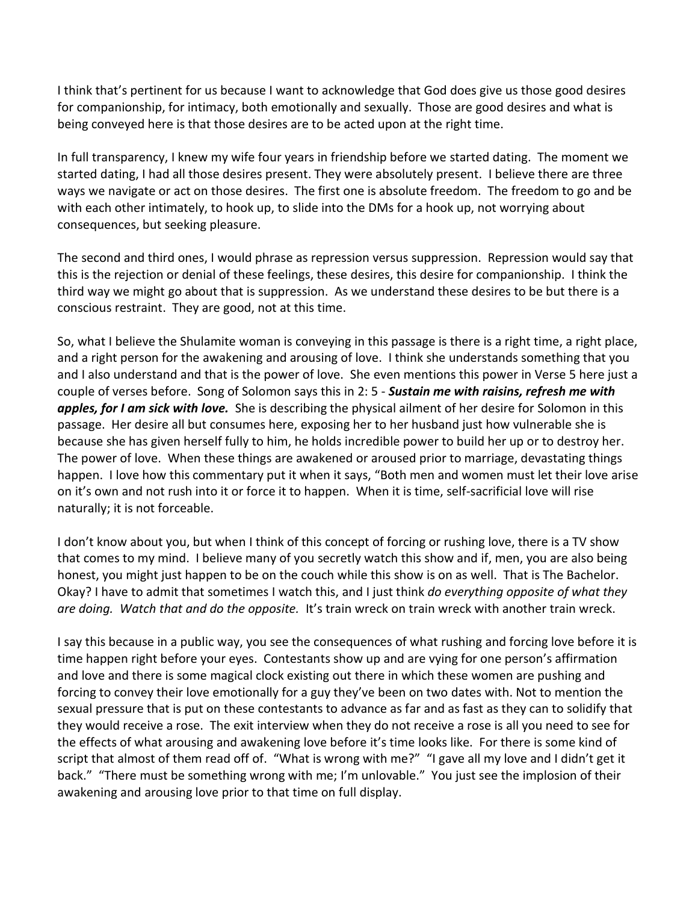I think that's pertinent for us because I want to acknowledge that God does give us those good desires for companionship, for intimacy, both emotionally and sexually. Those are good desires and what is being conveyed here is that those desires are to be acted upon at the right time.

In full transparency, I knew my wife four years in friendship before we started dating. The moment we started dating, I had all those desires present. They were absolutely present. I believe there are three ways we navigate or act on those desires. The first one is absolute freedom. The freedom to go and be with each other intimately, to hook up, to slide into the DMs for a hook up, not worrying about consequences, but seeking pleasure.

The second and third ones, I would phrase as repression versus suppression. Repression would say that this is the rejection or denial of these feelings, these desires, this desire for companionship. I think the third way we might go about that is suppression. As we understand these desires to be but there is a conscious restraint. They are good, not at this time.

So, what I believe the Shulamite woman is conveying in this passage is there is a right time, a right place, and a right person for the awakening and arousing of love. I think she understands something that you and I also understand and that is the power of love. She even mentions this power in Verse 5 here just a couple of verses before. Song of Solomon says this in 2: 5 - *Sustain me with raisins, refresh me with apples, for I am sick with love.* She is describing the physical ailment of her desire for Solomon in this passage. Her desire all but consumes here, exposing her to her husband just how vulnerable she is because she has given herself fully to him, he holds incredible power to build her up or to destroy her. The power of love. When these things are awakened or aroused prior to marriage, devastating things happen. I love how this commentary put it when it says, "Both men and women must let their love arise on it's own and not rush into it or force it to happen. When it is time, self-sacrificial love will rise naturally; it is not forceable.

I don't know about you, but when I think of this concept of forcing or rushing love, there is a TV show that comes to my mind. I believe many of you secretly watch this show and if, men, you are also being honest, you might just happen to be on the couch while this show is on as well. That is The Bachelor. Okay? I have to admit that sometimes I watch this, and I just think *do everything opposite of what they are doing. Watch that and do the opposite.* It's train wreck on train wreck with another train wreck.

I say this because in a public way, you see the consequences of what rushing and forcing love before it is time happen right before your eyes. Contestants show up and are vying for one person's affirmation and love and there is some magical clock existing out there in which these women are pushing and forcing to convey their love emotionally for a guy they've been on two dates with. Not to mention the sexual pressure that is put on these contestants to advance as far and as fast as they can to solidify that they would receive a rose. The exit interview when they do not receive a rose is all you need to see for the effects of what arousing and awakening love before it's time looks like. For there is some kind of script that almost of them read off of. "What is wrong with me?" "I gave all my love and I didn't get it back." "There must be something wrong with me; I'm unlovable." You just see the implosion of their awakening and arousing love prior to that time on full display.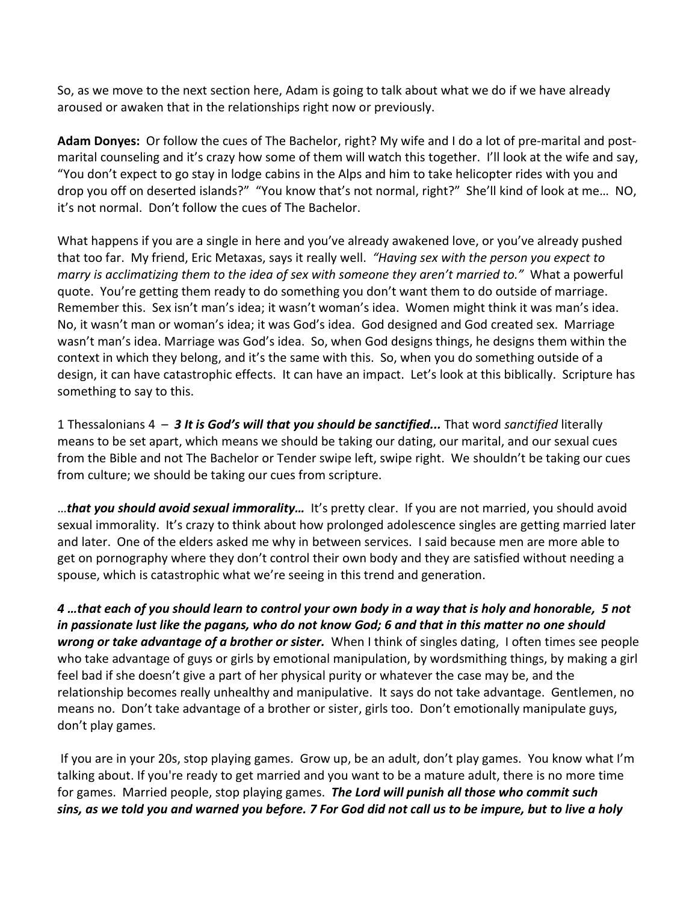So, as we move to the next section here, Adam is going to talk about what we do if we have already aroused or awaken that in the relationships right now or previously.

**Adam Donyes:** Or follow the cues of The Bachelor, right? My wife and I do a lot of pre-marital and postmarital counseling and it's crazy how some of them will watch this together. I'll look at the wife and say, "You don't expect to go stay in lodge cabins in the Alps and him to take helicopter rides with you and drop you off on deserted islands?" "You know that's not normal, right?" She'll kind of look at me… NO, it's not normal. Don't follow the cues of The Bachelor.

What happens if you are a single in here and you've already awakened love, or you've already pushed that too far. My friend, Eric Metaxas, says it really well. *"Having sex with the person you expect to marry is acclimatizing them to the idea of sex with someone they aren't married to."* What a powerful quote. You're getting them ready to do something you don't want them to do outside of marriage. Remember this. Sex isn't man's idea; it wasn't woman's idea. Women might think it was man's idea. No, it wasn't man or woman's idea; it was God's idea. God designed and God created sex. Marriage wasn't man's idea. Marriage was God's idea. So, when God designs things, he designs them within the context in which they belong, and it's the same with this. So, when you do something outside of a design, it can have catastrophic effects. It can have an impact. Let's look at this biblically. Scripture has something to say to this.

1 Thessalonians 4 – *3 It is God's will that you should be sanctified...* That word *sanctified* literally means to be set apart, which means we should be taking our dating, our marital, and our sexual cues from the Bible and not The Bachelor or Tender swipe left, swipe right. We shouldn't be taking our cues from culture; we should be taking our cues from scripture.

…*that you should avoid sexual immorality…* It's pretty clear. If you are not married, you should avoid sexual immorality. It's crazy to think about how prolonged adolescence singles are getting married later and later. One of the elders asked me why in between services. I said because men are more able to get on pornography where they don't control their own body and they are satisfied without needing a spouse, which is catastrophic what we're seeing in this trend and generation.

*4 …that each of you should learn to control your own body in a way that is holy and honorable, 5 not in passionate lust like the pagans, who do not know God; 6 and that in this matter no one should wrong or take advantage of a brother or sister.* When I think of singles dating, I often times see people who take advantage of guys or girls by emotional manipulation, by wordsmithing things, by making a girl feel bad if she doesn't give a part of her physical purity or whatever the case may be, and the relationship becomes really unhealthy and manipulative. It says do not take advantage. Gentlemen, no means no. Don't take advantage of a brother or sister, girls too. Don't emotionally manipulate guys, don't play games.

If you are in your 20s, stop playing games. Grow up, be an adult, don't play games. You know what I'm talking about. If you're ready to get married and you want to be a mature adult, there is no more time for games. Married people, stop playing games. *The Lord will punish all those who commit such sins, as we told you and warned you before. 7 For God did not call us to be impure, but to live a holy*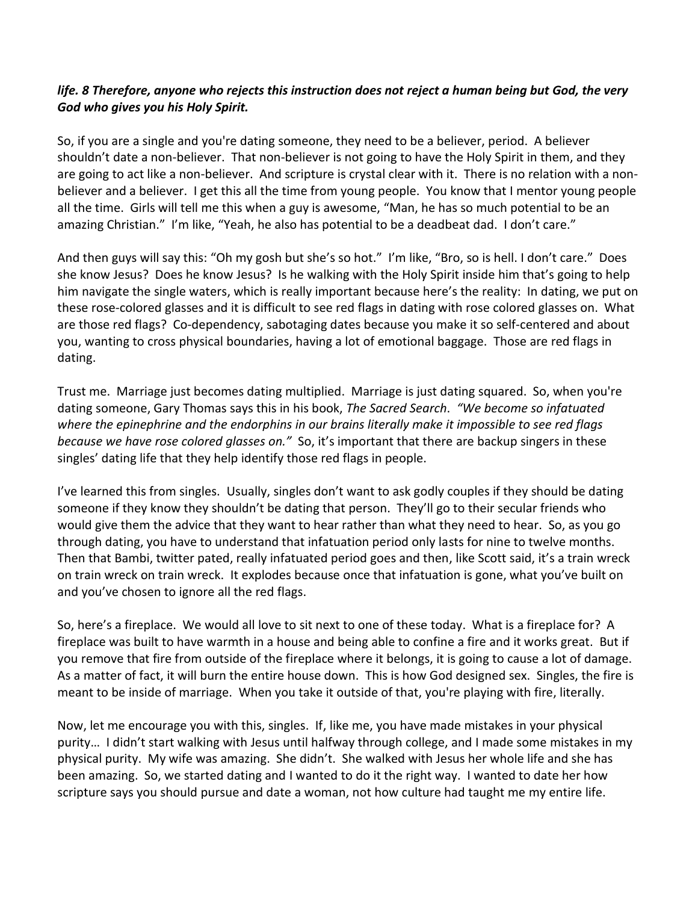## *life. 8 Therefore, anyone who rejects this instruction does not reject a human being but God, the very God who gives you his Holy Spirit.*

So, if you are a single and you're dating someone, they need to be a believer, period. A believer shouldn't date a non-believer. That non-believer is not going to have the Holy Spirit in them, and they are going to act like a non-believer. And scripture is crystal clear with it. There is no relation with a nonbeliever and a believer. I get this all the time from young people. You know that I mentor young people all the time. Girls will tell me this when a guy is awesome, "Man, he has so much potential to be an amazing Christian." I'm like, "Yeah, he also has potential to be a deadbeat dad. I don't care."

And then guys will say this: "Oh my gosh but she's so hot." I'm like, "Bro, so is hell. I don't care." Does she know Jesus? Does he know Jesus? Is he walking with the Holy Spirit inside him that's going to help him navigate the single waters, which is really important because here's the reality: In dating, we put on these rose-colored glasses and it is difficult to see red flags in dating with rose colored glasses on. What are those red flags? Co-dependency, sabotaging dates because you make it so self-centered and about you, wanting to cross physical boundaries, having a lot of emotional baggage. Those are red flags in dating.

Trust me. Marriage just becomes dating multiplied. Marriage is just dating squared. So, when you're dating someone, Gary Thomas says this in his book, *The Sacred Search*. *"We become so infatuated where the epinephrine and the endorphins in our brains literally make it impossible to see red flags because we have rose colored glasses on."* So, it's important that there are backup singers in these singles' dating life that they help identify those red flags in people.

I've learned this from singles. Usually, singles don't want to ask godly couples if they should be dating someone if they know they shouldn't be dating that person. They'll go to their secular friends who would give them the advice that they want to hear rather than what they need to hear. So, as you go through dating, you have to understand that infatuation period only lasts for nine to twelve months. Then that Bambi, twitter pated, really infatuated period goes and then, like Scott said, it's a train wreck on train wreck on train wreck. It explodes because once that infatuation is gone, what you've built on and you've chosen to ignore all the red flags.

So, here's a fireplace. We would all love to sit next to one of these today. What is a fireplace for? A fireplace was built to have warmth in a house and being able to confine a fire and it works great. But if you remove that fire from outside of the fireplace where it belongs, it is going to cause a lot of damage. As a matter of fact, it will burn the entire house down. This is how God designed sex. Singles, the fire is meant to be inside of marriage. When you take it outside of that, you're playing with fire, literally.

Now, let me encourage you with this, singles. If, like me, you have made mistakes in your physical purity… I didn't start walking with Jesus until halfway through college, and I made some mistakes in my physical purity. My wife was amazing. She didn't. She walked with Jesus her whole life and she has been amazing. So, we started dating and I wanted to do it the right way. I wanted to date her how scripture says you should pursue and date a woman, not how culture had taught me my entire life.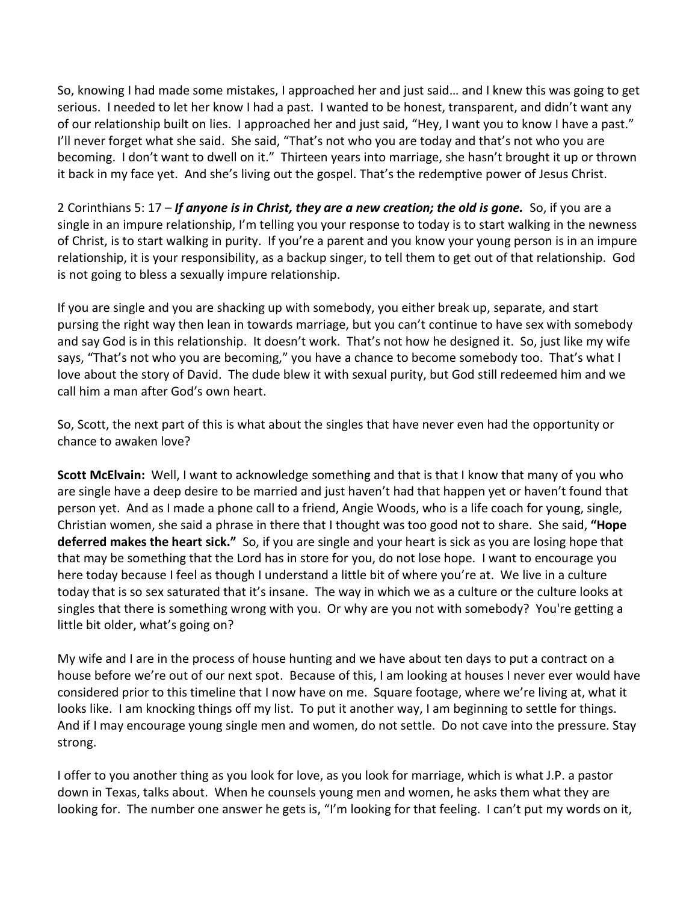So, knowing I had made some mistakes, I approached her and just said… and I knew this was going to get serious. I needed to let her know I had a past. I wanted to be honest, transparent, and didn't want any of our relationship built on lies. I approached her and just said, "Hey, I want you to know I have a past." I'll never forget what she said. She said, "That's not who you are today and that's not who you are becoming. I don't want to dwell on it." Thirteen years into marriage, she hasn't brought it up or thrown it back in my face yet. And she's living out the gospel. That's the redemptive power of Jesus Christ.

2 Corinthians 5: 17 – *If anyone is in Christ, they are a new creation; the old is gone.* So, if you are a single in an impure relationship, I'm telling you your response to today is to start walking in the newness of Christ, is to start walking in purity. If you're a parent and you know your young person is in an impure relationship, it is your responsibility, as a backup singer, to tell them to get out of that relationship. God is not going to bless a sexually impure relationship.

If you are single and you are shacking up with somebody, you either break up, separate, and start pursing the right way then lean in towards marriage, but you can't continue to have sex with somebody and say God is in this relationship. It doesn't work. That's not how he designed it. So, just like my wife says, "That's not who you are becoming," you have a chance to become somebody too. That's what I love about the story of David. The dude blew it with sexual purity, but God still redeemed him and we call him a man after God's own heart.

So, Scott, the next part of this is what about the singles that have never even had the opportunity or chance to awaken love?

**Scott McElvain:** Well, I want to acknowledge something and that is that I know that many of you who are single have a deep desire to be married and just haven't had that happen yet or haven't found that person yet. And as I made a phone call to a friend, Angie Woods, who is a life coach for young, single, Christian women, she said a phrase in there that I thought was too good not to share. She said, **"Hope deferred makes the heart sick."** So, if you are single and your heart is sick as you are losing hope that that may be something that the Lord has in store for you, do not lose hope. I want to encourage you here today because I feel as though I understand a little bit of where you're at. We live in a culture today that is so sex saturated that it's insane. The way in which we as a culture or the culture looks at singles that there is something wrong with you. Or why are you not with somebody? You're getting a little bit older, what's going on?

My wife and I are in the process of house hunting and we have about ten days to put a contract on a house before we're out of our next spot. Because of this, I am looking at houses I never ever would have considered prior to this timeline that I now have on me. Square footage, where we're living at, what it looks like. I am knocking things off my list. To put it another way, I am beginning to settle for things. And if I may encourage young single men and women, do not settle. Do not cave into the pressure. Stay strong.

I offer to you another thing as you look for love, as you look for marriage, which is what J.P. a pastor down in Texas, talks about. When he counsels young men and women, he asks them what they are looking for. The number one answer he gets is, "I'm looking for that feeling. I can't put my words on it,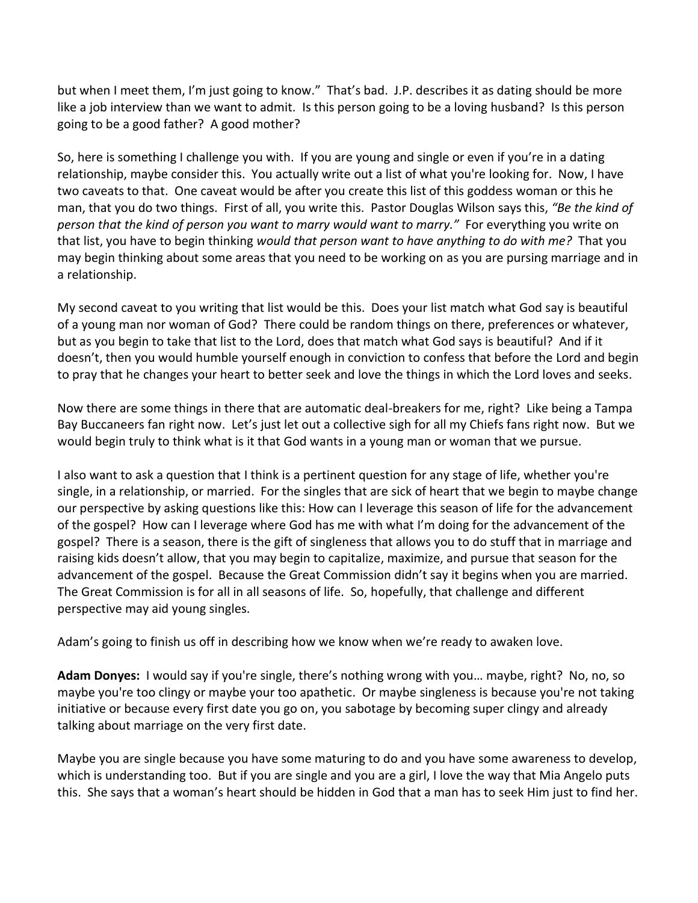but when I meet them, I'm just going to know." That's bad. J.P. describes it as dating should be more like a job interview than we want to admit. Is this person going to be a loving husband? Is this person going to be a good father? A good mother?

So, here is something I challenge you with. If you are young and single or even if you're in a dating relationship, maybe consider this. You actually write out a list of what you're looking for. Now, I have two caveats to that. One caveat would be after you create this list of this goddess woman or this he man, that you do two things. First of all, you write this. Pastor Douglas Wilson says this, *"Be the kind of person that the kind of person you want to marry would want to marry."* For everything you write on that list, you have to begin thinking *would that person want to have anything to do with me?* That you may begin thinking about some areas that you need to be working on as you are pursing marriage and in a relationship.

My second caveat to you writing that list would be this. Does your list match what God say is beautiful of a young man nor woman of God? There could be random things on there, preferences or whatever, but as you begin to take that list to the Lord, does that match what God says is beautiful? And if it doesn't, then you would humble yourself enough in conviction to confess that before the Lord and begin to pray that he changes your heart to better seek and love the things in which the Lord loves and seeks.

Now there are some things in there that are automatic deal-breakers for me, right? Like being a Tampa Bay Buccaneers fan right now. Let's just let out a collective sigh for all my Chiefs fans right now. But we would begin truly to think what is it that God wants in a young man or woman that we pursue.

I also want to ask a question that I think is a pertinent question for any stage of life, whether you're single, in a relationship, or married. For the singles that are sick of heart that we begin to maybe change our perspective by asking questions like this: How can I leverage this season of life for the advancement of the gospel? How can I leverage where God has me with what I'm doing for the advancement of the gospel? There is a season, there is the gift of singleness that allows you to do stuff that in marriage and raising kids doesn't allow, that you may begin to capitalize, maximize, and pursue that season for the advancement of the gospel. Because the Great Commission didn't say it begins when you are married. The Great Commission is for all in all seasons of life. So, hopefully, that challenge and different perspective may aid young singles.

Adam's going to finish us off in describing how we know when we're ready to awaken love.

**Adam Donyes:** I would say if you're single, there's nothing wrong with you… maybe, right? No, no, so maybe you're too clingy or maybe your too apathetic. Or maybe singleness is because you're not taking initiative or because every first date you go on, you sabotage by becoming super clingy and already talking about marriage on the very first date.

Maybe you are single because you have some maturing to do and you have some awareness to develop, which is understanding too. But if you are single and you are a girl, I love the way that Mia Angelo puts this. She says that a woman's heart should be hidden in God that a man has to seek Him just to find her.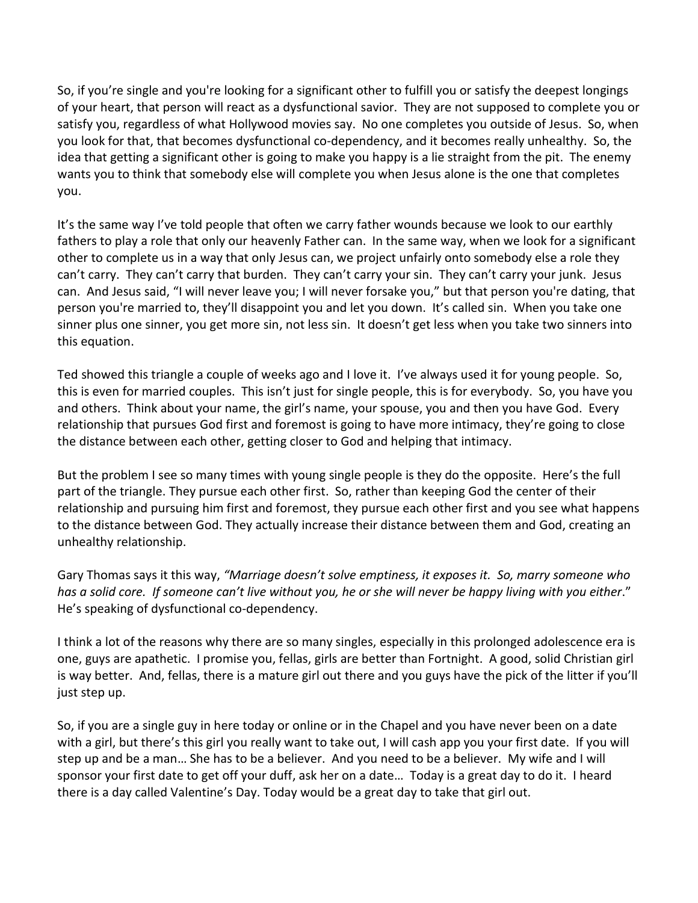So, if you're single and you're looking for a significant other to fulfill you or satisfy the deepest longings of your heart, that person will react as a dysfunctional savior. They are not supposed to complete you or satisfy you, regardless of what Hollywood movies say. No one completes you outside of Jesus. So, when you look for that, that becomes dysfunctional co-dependency, and it becomes really unhealthy. So, the idea that getting a significant other is going to make you happy is a lie straight from the pit. The enemy wants you to think that somebody else will complete you when Jesus alone is the one that completes you.

It's the same way I've told people that often we carry father wounds because we look to our earthly fathers to play a role that only our heavenly Father can. In the same way, when we look for a significant other to complete us in a way that only Jesus can, we project unfairly onto somebody else a role they can't carry. They can't carry that burden. They can't carry your sin. They can't carry your junk. Jesus can. And Jesus said, "I will never leave you; I will never forsake you," but that person you're dating, that person you're married to, they'll disappoint you and let you down. It's called sin. When you take one sinner plus one sinner, you get more sin, not less sin. It doesn't get less when you take two sinners into this equation.

Ted showed this triangle a couple of weeks ago and I love it. I've always used it for young people. So, this is even for married couples. This isn't just for single people, this is for everybody. So, you have you and others. Think about your name, the girl's name, your spouse, you and then you have God. Every relationship that pursues God first and foremost is going to have more intimacy, they're going to close the distance between each other, getting closer to God and helping that intimacy.

But the problem I see so many times with young single people is they do the opposite. Here's the full part of the triangle. They pursue each other first. So, rather than keeping God the center of their relationship and pursuing him first and foremost, they pursue each other first and you see what happens to the distance between God. They actually increase their distance between them and God, creating an unhealthy relationship.

Gary Thomas says it this way, *"Marriage doesn't solve emptiness, it exposes it. So, marry someone who has a solid core. If someone can't live without you, he or she will never be happy living with you either*." He's speaking of dysfunctional co-dependency.

I think a lot of the reasons why there are so many singles, especially in this prolonged adolescence era is one, guys are apathetic. I promise you, fellas, girls are better than Fortnight. A good, solid Christian girl is way better. And, fellas, there is a mature girl out there and you guys have the pick of the litter if you'll just step up.

So, if you are a single guy in here today or online or in the Chapel and you have never been on a date with a girl, but there's this girl you really want to take out, I will cash app you your first date. If you will step up and be a man… She has to be a believer. And you need to be a believer. My wife and I will sponsor your first date to get off your duff, ask her on a date… Today is a great day to do it. I heard there is a day called Valentine's Day. Today would be a great day to take that girl out.